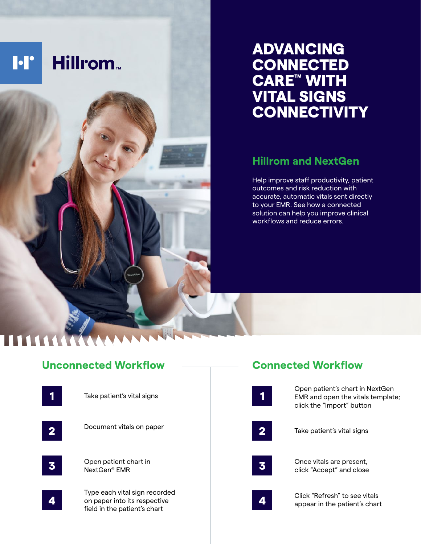

# ADVANCING **CONNECTED** CARE™ WITH VITAL SIGNS **CONNECTIVITY**

## **Hillrom and NextGen**

Help improve staff productivity, patient outcomes and risk reduction with accurate, automatic vitals sent directly to your EMR. See how a connected solution can help you improve clinical workflows and reduce errors.

# **Unconnected Workflow**



# **Connected Workflow**

|   | Open patient's chart in NextGen<br>EMR and open the vitals template;<br>click the "Import" button |
|---|---------------------------------------------------------------------------------------------------|
| 2 | Take patient's vital signs                                                                        |
|   | Once vitals are present,<br>click "Accept" and close                                              |
|   | Click "Refresh" to see vitals<br>appear in the patient's chart                                    |